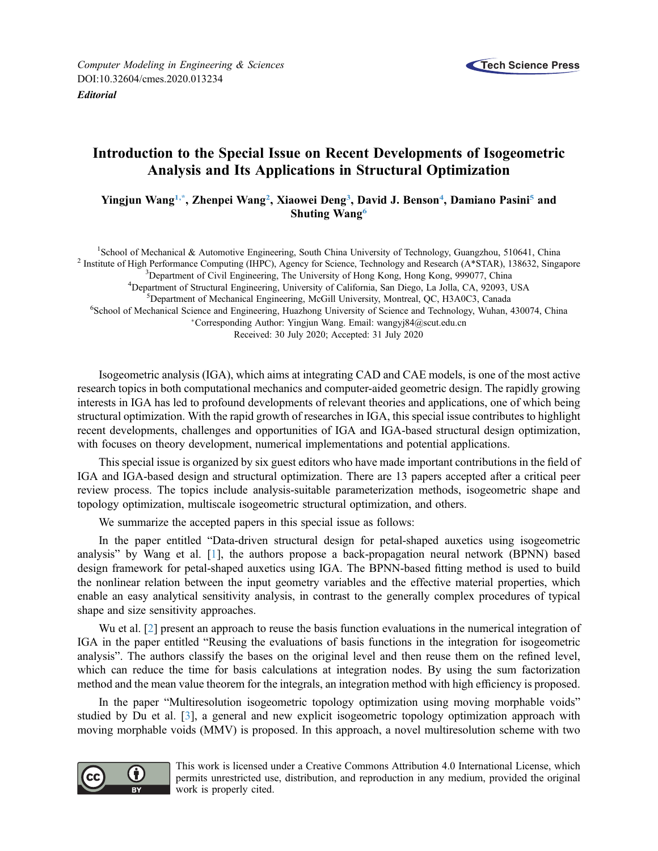

## Introduction to the Special Issue on Recent Developments of Isogeometric Analysis and Its Applications in Structural Optimization

Yingjun Wang<sup>1,\*</sup>, Zhenpei Wang<sup>2</sup>, Xiaowei Deng<sup>[3](#page-0-2)</sup>, David J. Benson<sup>4</sup>, Damiano Pasini<sup>[5](#page-0-4)</sup> and Shuting Wang<sup>[6](#page-0-5)</sup>

<span id="page-0-5"></span><span id="page-0-4"></span><span id="page-0-3"></span><span id="page-0-2"></span><span id="page-0-1"></span><span id="page-0-0"></span><sup>1</sup>School of Mechanical & Automotive Engineering, South China University of Technology, Guangzhou, 510641, China <sup>2</sup> Institute of High Performance Computing (IHPC), Agency for Science, Technology and Research (A\*STAR), 138632, Singapore <sup>3</sup>Department of Civil Engineering, The University of Hong Kong, Hong Kong, 999077, China <sup>4</sup>Department of Structural Engineering, University of California, San Diego, La Jolla, CA, 92093, USA <sup>5</sup>Department of Mechanical Engineering, McGill University, Montreal, QC, H3A0C3, Canada <sup>6</sup>School of Mechanical Science and Engineering, Huazhong University of Science and Technology, Wuhan, 430074, China Corresponding Author: Yingjun Wang. Email: [wangyj84@scut.edu.cn](mailto:<author-notes><corresp id=) Received: 30 July 2020; Accepted: 31 July 2020

Isogeometric analysis (IGA), which aims at integrating CAD and CAE models, is one of the most active research topics in both computational mechanics and computer-aided geometric design. The rapidly growing interests in IGA has led to profound developments of relevant theories and applications, one of which being structural optimization. With the rapid growth of researches in IGA, this special issue contributes to highlight recent developments, challenges and opportunities of IGA and IGA-based structural design optimization, with focuses on theory development, numerical implementations and potential applications.

This special issue is organized by six guest editors who have made important contributions in the field of IGA and IGA-based design and structural optimization. There are 13 papers accepted after a critical peer review process. The topics include analysis-suitable parameterization methods, isogeometric shape and topology optimization, multiscale isogeometric structural optimization, and others.

We summarize the accepted papers in this special issue as follows:

In the paper entitled "Data-driven structural design for petal-shaped auxetics using isogeometric analysis" by Wang et al. [\[1\]](#page-2-0), the authors propose a back-propagation neural network (BPNN) based design framework for petal-shaped auxetics using IGA. The BPNN-based fitting method is used to build the nonlinear relation between the input geometry variables and the effective material properties, which enable an easy analytical sensitivity analysis, in contrast to the generally complex procedures of typical shape and size sensitivity approaches.

Wu et al. [[2](#page-2-1)] present an approach to reuse the basis function evaluations in the numerical integration of IGA in the paper entitled "Reusing the evaluations of basis functions in the integration for isogeometric analysis". The authors classify the bases on the original level and then reuse them on the refined level, which can reduce the time for basis calculations at integration nodes. By using the sum factorization method and the mean value theorem for the integrals, an integration method with high efficiency is proposed.

In the paper "Multiresolution isogeometric topology optimization using moving morphable voids" studied by Du et al. [[3](#page-2-2)], a general and new explicit isogeometric topology optimization approach with moving morphable voids (MMV) is proposed. In this approach, a novel multiresolution scheme with two



This work is licensed under a Creative Commons Attribution 4.0 International License, which permits unrestricted use, distribution, and reproduction in any medium, provided the original work is properly cited.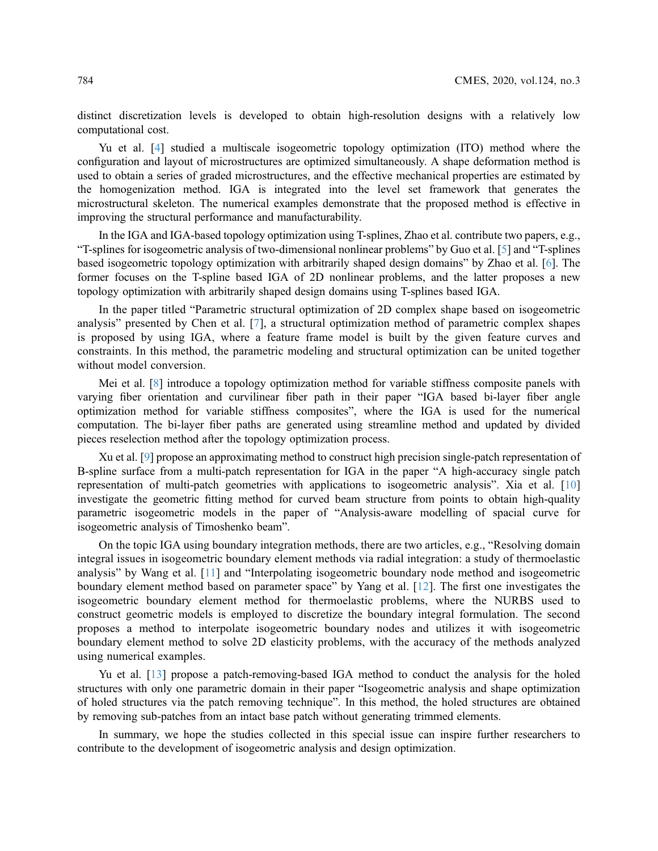distinct discretization levels is developed to obtain high-resolution designs with a relatively low computational cost.

Yu et al. [[4](#page-2-3)] studied a multiscale isogeometric topology optimization (ITO) method where the configuration and layout of microstructures are optimized simultaneously. A shape deformation method is used to obtain a series of graded microstructures, and the effective mechanical properties are estimated by the homogenization method. IGA is integrated into the level set framework that generates the microstructural skeleton. The numerical examples demonstrate that the proposed method is effective in improving the structural performance and manufacturability.

In the IGA and IGA-based topology optimization using T-splines, Zhao et al. contribute two papers, e.g., "T-splines for isogeometric analysis of two-dimensional nonlinear problems" by Guo et al. [[5](#page-2-4)] and "T-splines based isogeometric topology optimization with arbitrarily shaped design domains" by Zhao et al. [\[6\]](#page-2-5). The former focuses on the T-spline based IGA of 2D nonlinear problems, and the latter proposes a new topology optimization with arbitrarily shaped design domains using T-splines based IGA.

In the paper titled "Parametric structural optimization of 2D complex shape based on isogeometric analysis" presented by Chen et al. [\[7\]](#page-2-6), a structural optimization method of parametric complex shapes is proposed by using IGA, where a feature frame model is built by the given feature curves and constraints. In this method, the parametric modeling and structural optimization can be united together without model conversion.

Mei et al. [[8](#page-2-7)] introduce a topology optimization method for variable stiffness composite panels with varying fiber orientation and curvilinear fiber path in their paper "IGA based bi-layer fiber angle optimization method for variable stiffness composites", where the IGA is used for the numerical computation. The bi-layer fiber paths are generated using streamline method and updated by divided pieces reselection method after the topology optimization process.

Xu et al. [\[9\]](#page-2-8) propose an approximating method to construct high precision single-patch representation of B-spline surface from a multi-patch representation for IGA in the paper "A high-accuracy single patch representation of multi-patch geometries with applications to isogeometric analysis". Xia et al. [[10\]](#page-2-9) investigate the geometric fitting method for curved beam structure from points to obtain high-quality parametric isogeometric models in the paper of "Analysis-aware modelling of spacial curve for isogeometric analysis of Timoshenko beam".

On the topic IGA using boundary integration methods, there are two articles, e.g., "Resolving domain integral issues in isogeometric boundary element methods via radial integration: a study of thermoelastic analysis" by Wang et al. [\[11](#page-2-10)] and "Interpolating isogeometric boundary node method and isogeometric boundary element method based on parameter space" by Yang et al. [\[12](#page-2-11)]. The first one investigates the isogeometric boundary element method for thermoelastic problems, where the NURBS used to construct geometric models is employed to discretize the boundary integral formulation. The second proposes a method to interpolate isogeometric boundary nodes and utilizes it with isogeometric boundary element method to solve 2D elasticity problems, with the accuracy of the methods analyzed using numerical examples.

Yu et al. [\[13](#page-2-12)] propose a patch-removing-based IGA method to conduct the analysis for the holed structures with only one parametric domain in their paper "Isogeometric analysis and shape optimization of holed structures via the patch removing technique". In this method, the holed structures are obtained by removing sub-patches from an intact base patch without generating trimmed elements.

In summary, we hope the studies collected in this special issue can inspire further researchers to contribute to the development of isogeometric analysis and design optimization.